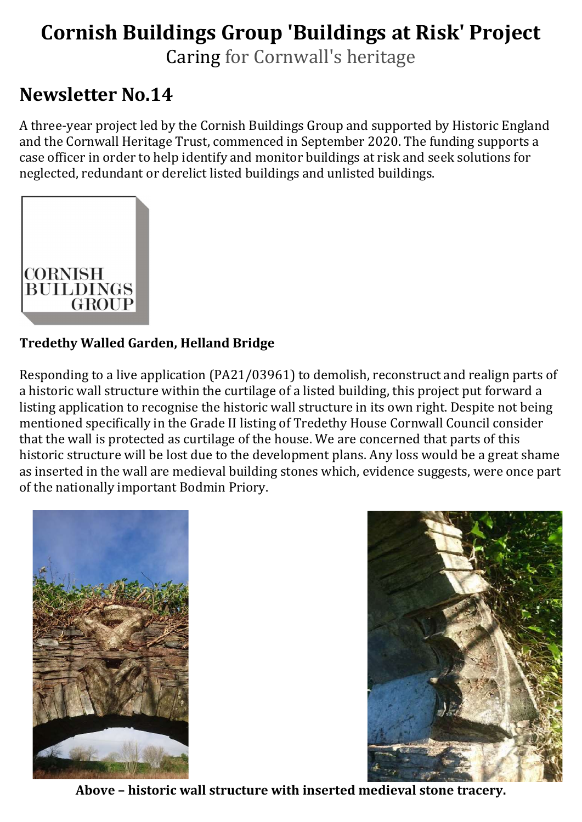# Cornish Buildings Group 'Buildings at Risk' Project

Caring for Cornwall's heritage

# Newsletter No.14

A three-year project led by the Cornish Buildings Group and supported by Historic England and the Cornwall Heritage Trust, commenced in September 2020. The funding supports a case officer in order to help identify and monitor buildings at risk and seek solutions for neglected, redundant or derelict listed buildings and unlisted buildings.



# Tredethy Walled Garden, Helland Bridge

Responding to a live application (PA21/03961) to demolish, reconstruct and realign parts of a historic wall structure within the curtilage of a listed building, this project put forward a listing application to recognise the historic wall structure in its own right. Despite not being mentioned specifically in the Grade II listing of Tredethy House Cornwall Council consider that the wall is protected as curtilage of the house. We are concerned that parts of this historic structure will be lost due to the development plans. Any loss would be a great shame as inserted in the wall are medieval building stones which, evidence suggests, were once part of the nationally important Bodmin Priory.





Above – historic wall structure with inserted medieval stone tracery.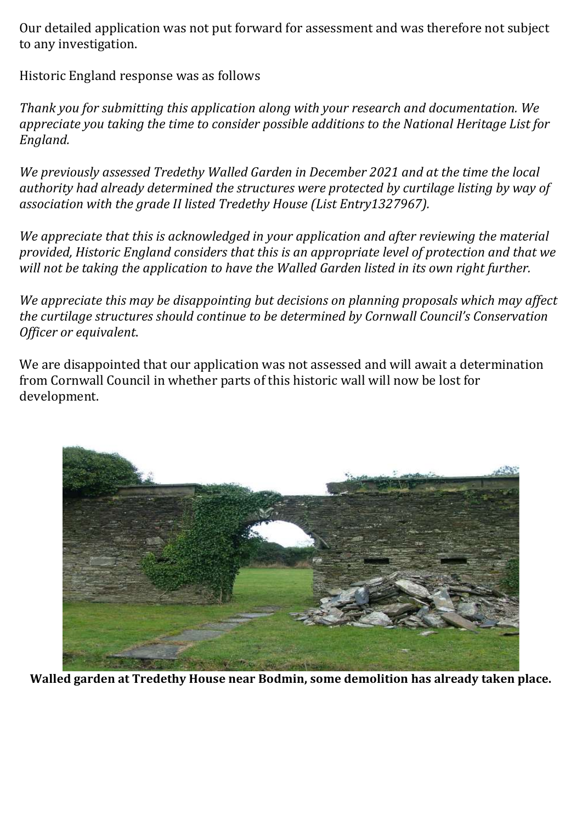Our detailed application was not put forward for assessment and was therefore not subject to any investigation.

Historic England response was as follows

Thank you for submitting this application along with your research and documentation. We appreciate you taking the time to consider possible additions to the National Heritage List for England.

We previously assessed Tredethy Walled Garden in December 2021 and at the time the local authority had already determined the structures were protected by curtilage listing by way of association with the grade II listed Tredethy House (List Entry1327967).

We appreciate that this is acknowledged in your application and after reviewing the material provided, Historic England considers that this is an appropriate level of protection and that we will not be taking the application to have the Walled Garden listed in its own right further.

We appreciate this may be disappointing but decisions on planning proposals which may affect the curtilage structures should continue to be determined by Cornwall Council's Conservation Officer or equivalent.

We are disappointed that our application was not assessed and will await a determination from Cornwall Council in whether parts of this historic wall will now be lost for development.



Walled garden at Tredethy House near Bodmin, some demolition has already taken place.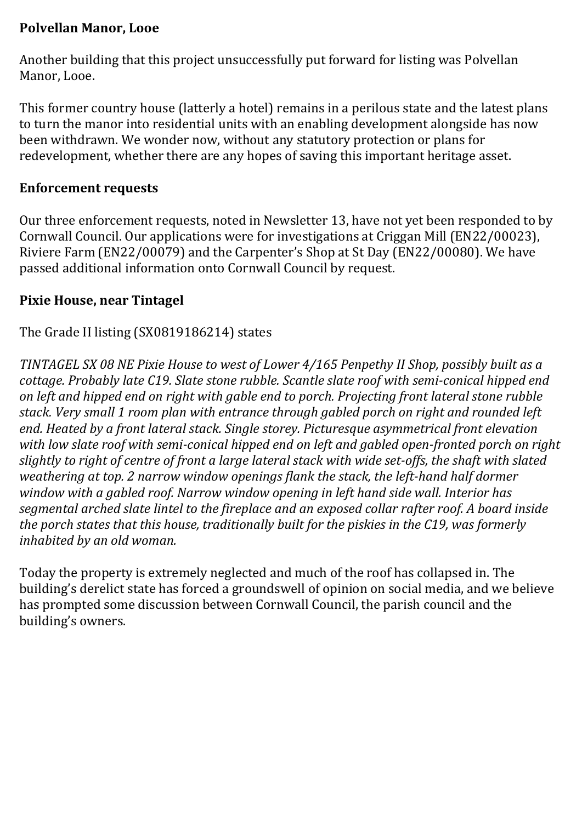# Polvellan Manor, Looe

Another building that this project unsuccessfully put forward for listing was Polvellan Manor, Looe.

This former country house (latterly a hotel) remains in a perilous state and the latest plans to turn the manor into residential units with an enabling development alongside has now been withdrawn. We wonder now, without any statutory protection or plans for redevelopment, whether there are any hopes of saving this important heritage asset.

## Enforcement requests

Our three enforcement requests, noted in Newsletter 13, have not yet been responded to by Cornwall Council. Our applications were for investigations at Criggan Mill (EN22/00023), Riviere Farm (EN22/00079) and the Carpenter's Shop at St Day (EN22/00080). We have passed additional information onto Cornwall Council by request.

# Pixie House, near Tintagel

# The Grade II listing (SX0819186214) states

TINTAGEL SX 08 NE Pixie House to west of Lower 4/165 Penpethy II Shop, possibly built as a cottage. Probably late C19. Slate stone rubble. Scantle slate roof with semi-conical hipped end on left and hipped end on right with gable end to porch. Projecting front lateral stone rubble stack. Very small 1 room plan with entrance through gabled porch on right and rounded left end. Heated by a front lateral stack. Single storey. Picturesque asymmetrical front elevation with low slate roof with semi-conical hipped end on left and gabled open-fronted porch on right slightly to right of centre of front a large lateral stack with wide set-offs, the shaft with slated weathering at top. 2 narrow window openings flank the stack, the left-hand half dormer window with a gabled roof. Narrow window opening in left hand side wall. Interior has segmental arched slate lintel to the fireplace and an exposed collar rafter roof. A board inside the porch states that this house, traditionally built for the piskies in the C19, was formerly inhabited by an old woman.

Today the property is extremely neglected and much of the roof has collapsed in. The building's derelict state has forced a groundswell of opinion on social media, and we believe has prompted some discussion between Cornwall Council, the parish council and the building's owners.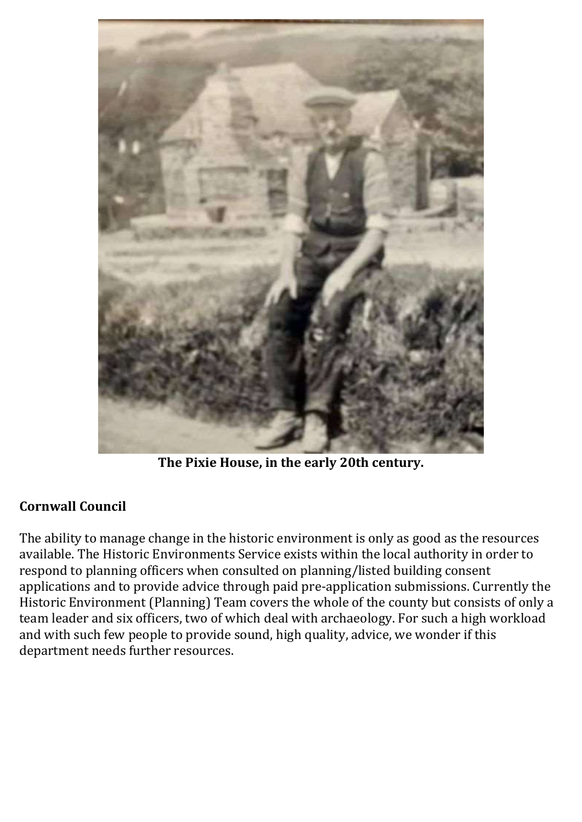

The Pixie House, in the early 20th century.

# Cornwall Council

The ability to manage change in the historic environment is only as good as the resources available. The Historic Environments Service exists within the local authority in order to respond to planning officers when consulted on planning/listed building consent applications and to provide advice through paid pre-application submissions. Currently the Historic Environment (Planning) Team covers the whole of the county but consists of only a team leader and six officers, two of which deal with archaeology. For such a high workload and with such few people to provide sound, high quality, advice, we wonder if this department needs further resources.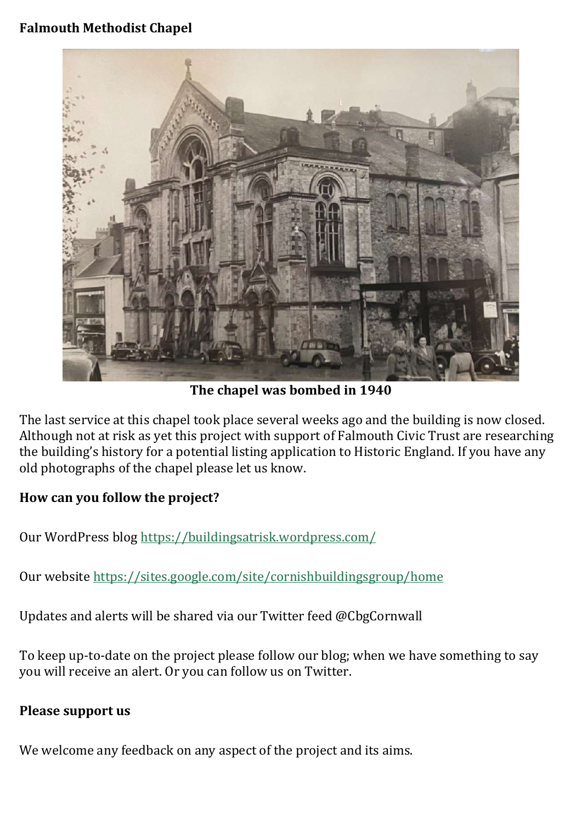# Falmouth Methodist Chapel



The chapel was bombed in 1940

The last service at this chapel took place several weeks ago and the building is now closed. Although not at risk as yet this project with support of Falmouth Civic Trust are researching the building's history for a potential listing application to Historic England. If you have any old photographs of the chapel please let us know.

#### How can you follow the project?

Our WordPress blog https://buildingsatrisk.wordpress.com/

Our website https://sites.google.com/site/cornishbuildingsgroup/home

Updates and alerts will be shared via our Twitter feed @CbgCornwall

To keep up-to-date on the project please follow our blog; when we have something to say you will receive an alert. Or you can follow us on Twitter.

#### Please support us

We welcome any feedback on any aspect of the project and its aims.